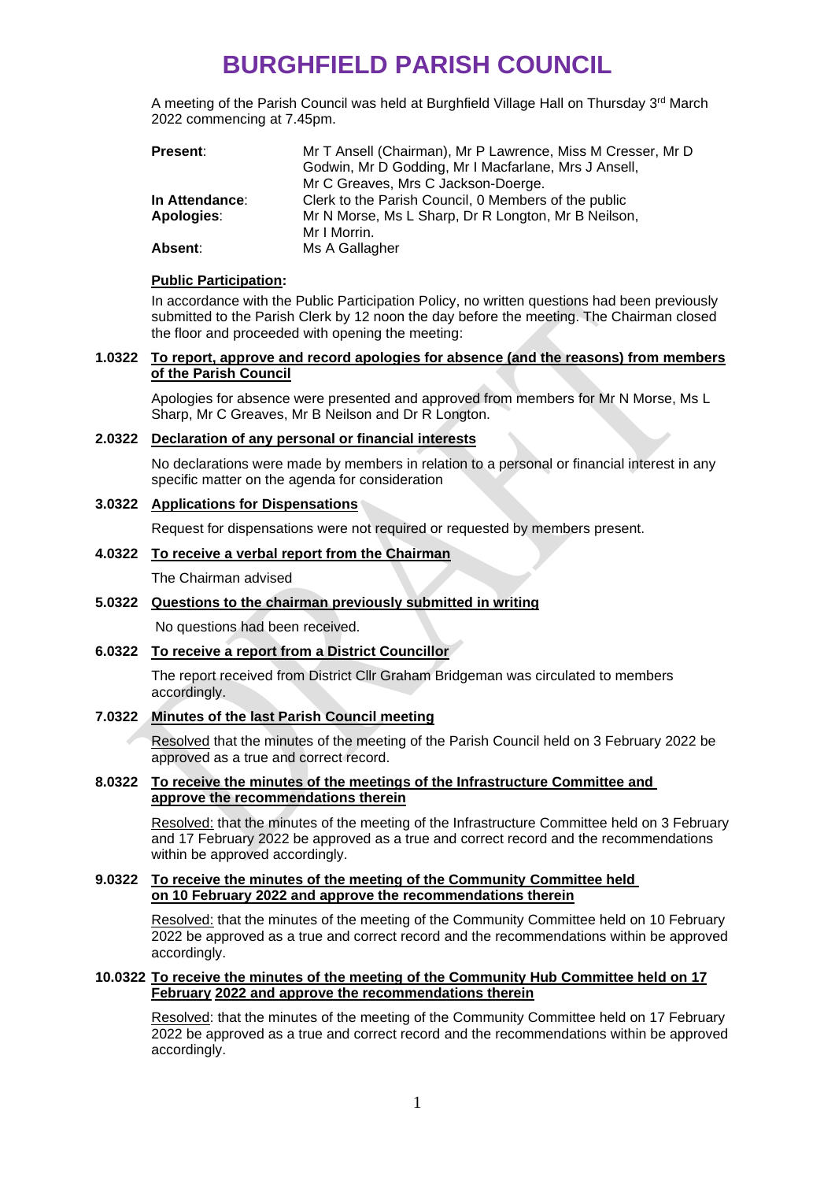# **BURGHFIELD PARISH COUNCIL**

A meeting of the Parish Council was held at Burghfield Village Hall on Thursday 3<sup>rd</sup> March 2022 commencing at 7.45pm.

| <b>Present:</b>       | Mr T Ansell (Chairman), Mr P Lawrence, Miss M Cresser, Mr D |  |
|-----------------------|-------------------------------------------------------------|--|
|                       | Godwin, Mr D Godding, Mr I Macfarlane, Mrs J Ansell,        |  |
|                       | Mr C Greaves, Mrs C Jackson-Doerge.                         |  |
| <b>In Attendance:</b> | Clerk to the Parish Council, 0 Members of the public        |  |
| Apologies:            | Mr N Morse, Ms L Sharp, Dr R Longton, Mr B Neilson,         |  |
|                       | Mr I Morrin.                                                |  |
| Absent:               | Ms A Gallagher                                              |  |

#### **Public Participation:**

In accordance with the Public Participation Policy, no written questions had been previously submitted to the Parish Clerk by 12 noon the day before the meeting. The Chairman closed the floor and proceeded with opening the meeting:

### **1.0322 To report, approve and record apologies for absence (and the reasons) from members of the Parish Council**

Apologies for absence were presented and approved from members for Mr N Morse, Ms L Sharp, Mr C Greaves, Mr B Neilson and Dr R Longton.

### **2.0322 Declaration of any personal or financial interests**

No declarations were made by members in relation to a personal or financial interest in any specific matter on the agenda for consideration

# **3.0322 Applications for Dispensations**

Request for dispensations were not required or requested by members present.

### **4.0322 To receive a verbal report from the Chairman**

The Chairman advised

# **5.0322 Questions to the chairman previously submitted in writing**

No questions had been received.

# **6.0322 To receive a report from a District Councillor**

The report received from District Cllr Graham Bridgeman was circulated to members accordingly.

# **7.0322 Minutes of the last Parish Council meeting**

Resolved that the minutes of the meeting of the Parish Council held on 3 February 2022 be approved as a true and correct record.

# **8.0322 To receive the minutes of the meetings of the Infrastructure Committee and approve the recommendations therein**

Resolved: that the minutes of the meeting of the Infrastructure Committee held on 3 February and 17 February 2022 be approved as a true and correct record and the recommendations within be approved accordingly.

#### **9.0322 To receive the minutes of the meeting of the Community Committee held on 10 February 2022 and approve the recommendations therein**

Resolved: that the minutes of the meeting of the Community Committee held on 10 February 2022 be approved as a true and correct record and the recommendations within be approved accordingly.

## **10.0322 To receive the minutes of the meeting of the Community Hub Committee held on 17 February 2022 and approve the recommendations therein**

Resolved: that the minutes of the meeting of the Community Committee held on 17 February 2022 be approved as a true and correct record and the recommendations within be approved accordingly.